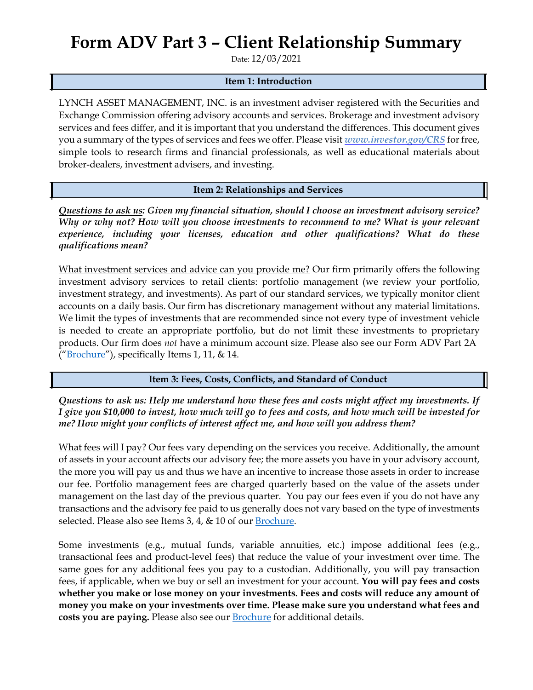## **Form ADV Part 3 – Client Relationship Summary**

Date: 12/03/2021

## **Item 1: Introduction**

LYNCH ASSET MANAGEMENT, INC. is an investment adviser registered with the Securities and Exchange Commission offering advisory accounts and services. Brokerage and investment advisory services and fees differ, and it is important that you understand the differences. This document gives you a summary of the types of services and fees we offer. Please visit *www.investor.gov/CRS* for free, simple tools to research firms and financial professionals, as well as educational materials about broker-dealers, investment advisers, and investing.

**Item 2: Relationships and Services**

*Questions to ask us: Given my financial situation, should I choose an investment advisory service? Why or why not? How will you choose investments to recommend to me? What is your relevant experience, including your licenses, education and other qualifications? What do these qualifications mean?*

What investment services and advice can you provide me? Our firm primarily offers the following investment advisory services to retail clients: portfolio management (we review your portfolio, investment strategy, and investments). As part of our standard services, we typically monitor client accounts on a daily basis. Our firm has discretionary management without any material limitations. We limit the types of investments that are recommended since not every type of investment vehicle is needed to create an appropriate portfolio, but do not limit these investments to proprietary products. Our firm does *not* have a minimum account size. Please also see our Form ADV Part 2A ("Brochure"), specifically Items 1, 11, & 14.

## **Item 3: Fees, Costs, Conflicts, and Standard of Conduct**

*Questions to ask us: Help me understand how these fees and costs might affect my investments. If I give you \$10,000 to invest, how much will go to fees and costs, and how much will be invested for me? How might your conflicts of interest affect me, and how will you address them?*

What fees will I pay? Our fees vary depending on the services you receive. Additionally, the amount of assets in your account affects our advisory fee; the more assets you have in your advisory account, the more you will pay us and thus we have an incentive to increase those assets in order to increase our fee. Portfolio management fees are charged quarterly based on the value of the assets under management on the last day of the previous quarter. You pay our fees even if you do not have any transactions and the advisory fee paid to us generally does not vary based on the type of investments selected. Please also see Items 3, 4, & 10 of our Brochure.

Some investments (e.g., mutual funds, variable annuities, etc.) impose additional fees (e.g., transactional fees and product-level fees) that reduce the value of your investment over time. The same goes for any additional fees you pay to a custodian. Additionally, you will pay transaction fees, if applicable, when we buy or sell an investment for your account. **You will pay fees and costs whether you make or lose money on your investments. Fees and costs will reduce any amount of money you make on your investments over time. Please make sure you understand what fees and**  costs you are paying. Please also see our **Brochure** for additional details.